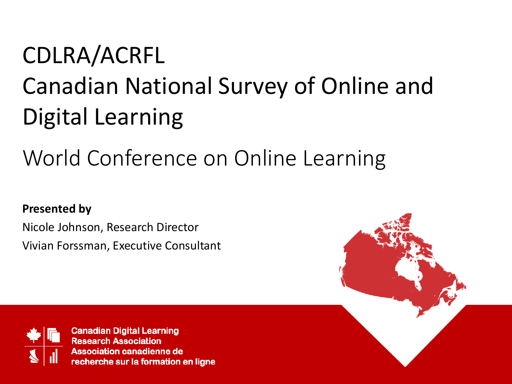### CDLRA/ACRFL Canadian National Survey of Online and Digital Learning

#### World Conference on Online Learning

#### **Presented by**

Nicole Johnson, Research Director Vivian Forssman, Executive Consultant

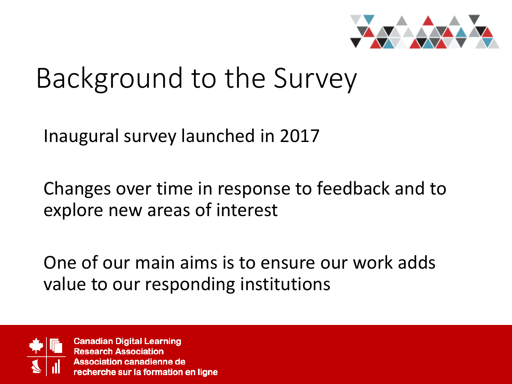

### Background to the Survey

Inaugural survey launched in 2017

Changes over time in response to feedback and to explore new areas of interest

One of our main aims is to ensure our work adds value to our responding institutions

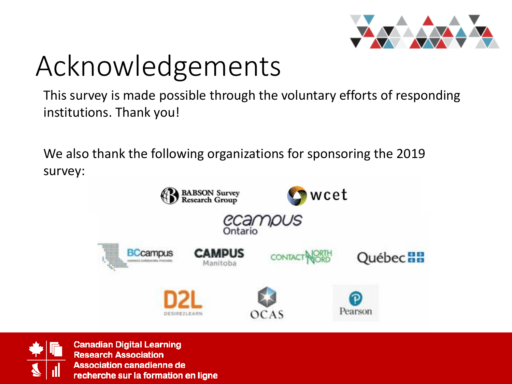

# Acknowledgements

This survey is made possible through the voluntary efforts of responding institutions. Thank you!

We also thank the following organizations for sponsoring the 2019 survey:



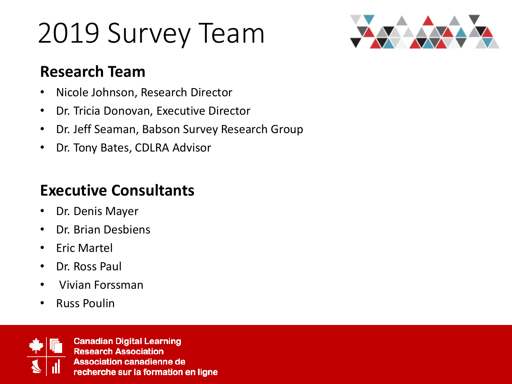# 2019 Survey Team



#### **Research Team**

- Nicole Johnson, Research Director
- Dr. Tricia Donovan, Executive Director
- Dr. Jeff Seaman, Babson Survey Research Group
- Dr. Tony Bates, CDLRA Advisor

#### **Executive Consultants**

- Dr. Denis Mayer
- Dr. Brian Desbiens
- Eric Martel
- Dr. Ross Paul
- Vivian Forssman
- Russ Poulin

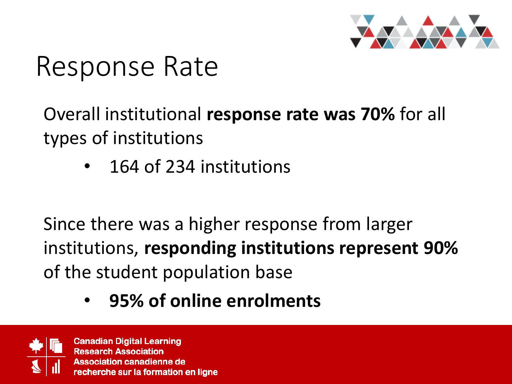

### Response Rate

Overall institutional **response rate was 70%** for all types of institutions

• 164 of 234 institutions

Since there was a higher response from larger institutions, **responding institutions represent 90%**  of the student population base

• **95% of online enrolments**

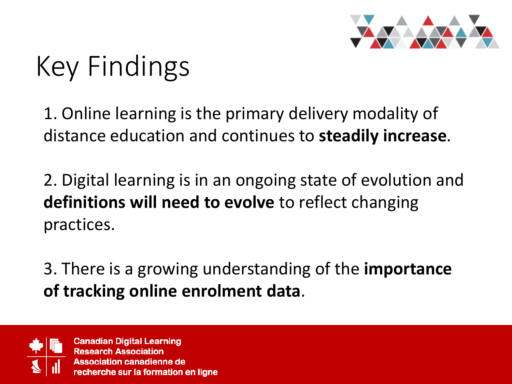

# Key Findings

1. Online learning is the primary delivery modality of distance education and continues to **steadily increase**.

2. Digital learning is in an ongoing state of evolution and **definitions will need to evolve** to reflect changing practices.

3. There is a growing understanding of the **importance of tracking online enrolment data**.

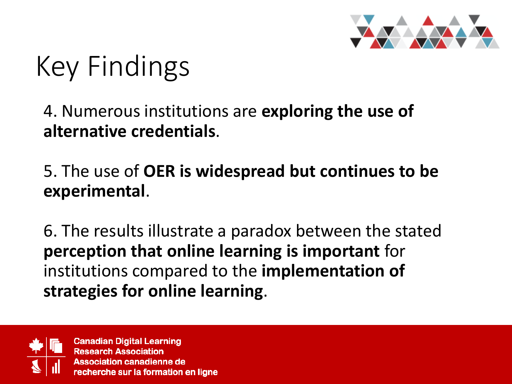

# Key Findings

#### 4. Numerous institutions are **exploring the use of alternative credentials**.

#### 5. The use of **OER is widespread but continues to be experimental**.

6. The results illustrate a paradox between the stated **perception that online learning is important** for institutions compared to the **implementation of strategies for online learning**.

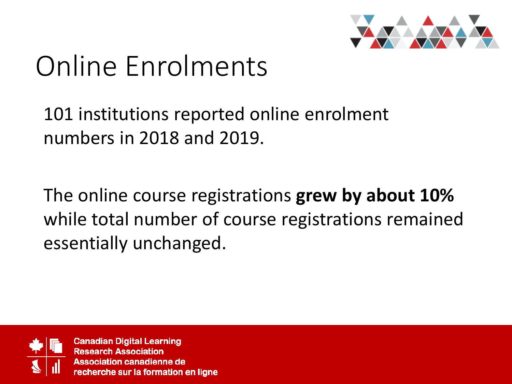

# Online Enrolments

101 institutions reported online enrolment numbers in 2018 and 2019.

The online course registrations **grew by about 10%**  while total number of course registrations remained essentially unchanged.

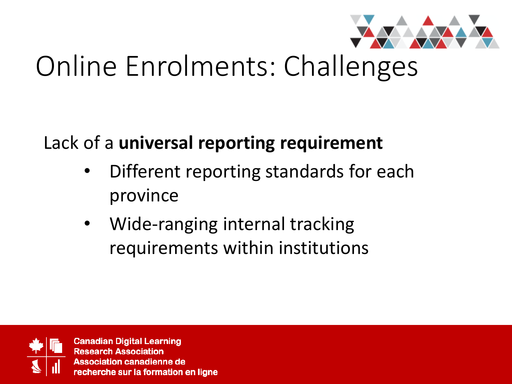

# Online Enrolments: Challenges

#### Lack of a **universal reporting requirement**

- Different reporting standards for each province
- Wide-ranging internal tracking requirements within institutions

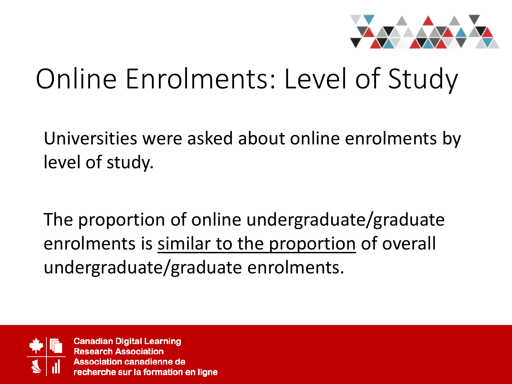

## Online Enrolments: Level of Study

Universities were asked about online enrolments by level of study.

The proportion of online undergraduate/graduate enrolments is similar to the proportion of overall undergraduate/graduate enrolments.

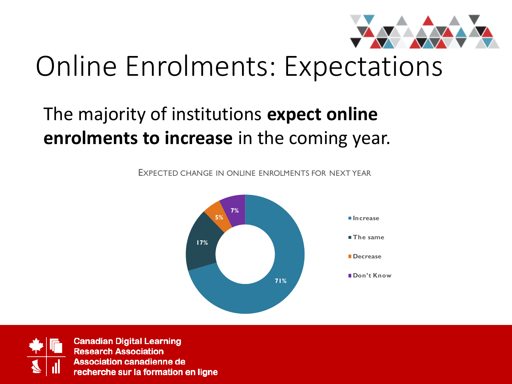

### Online Enrolments: Expectations

#### The majority of institutions **expect online enrolments to increase** in the coming year.

EXPECTED CHANGE IN ONLINE ENROLMENTS FOR NEXT YEAR



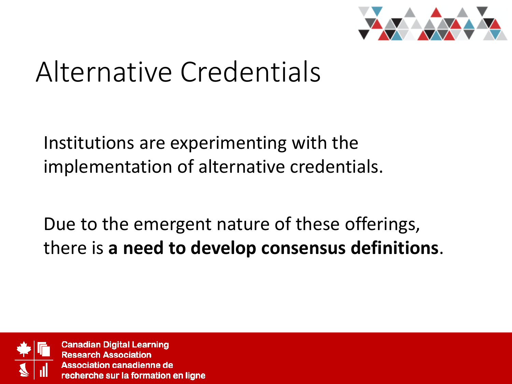

### Alternative Credentials

Institutions are experimenting with the implementation of alternative credentials.

Due to the emergent nature of these offerings, there is **a need to develop consensus definitions**.

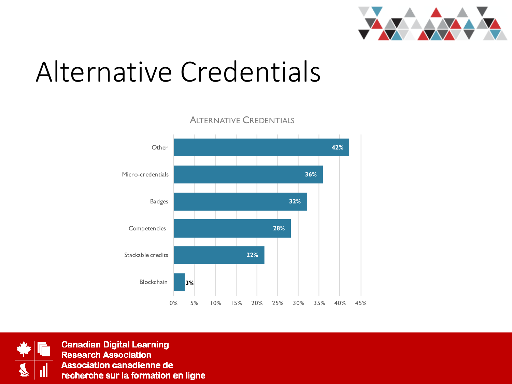

### Alternative Credentials

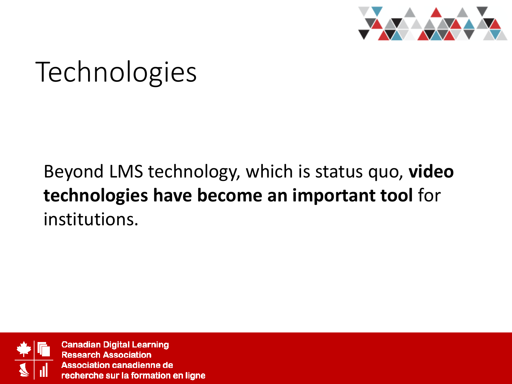

# **Technologies**

#### Beyond LMS technology, which is status quo, **video technologies have become an important tool** for institutions.

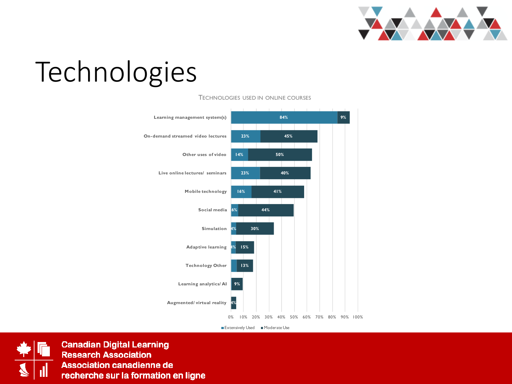

# Technologies



TECHNOLOGIES USED IN ONLINE COURSES

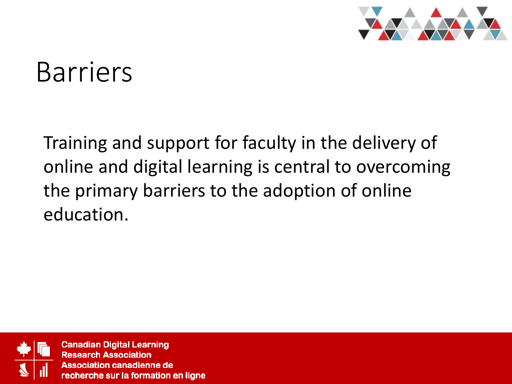

#### Barriers

Training and support for faculty in the delivery of online and digital learning is central to overcoming the primary barriers to the adoption of online education.

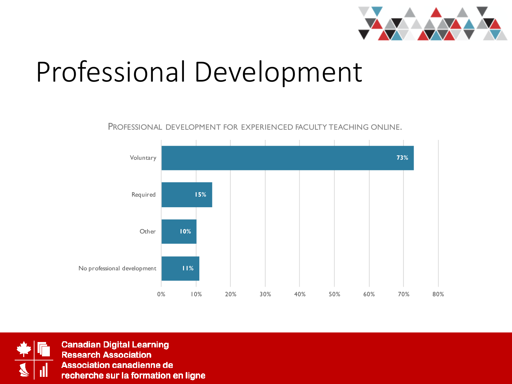

### Professional Development

PROFESSIONAL DEVELOPMENT FOR EXPERIENCED FACULTY TEACHING ONLINE.



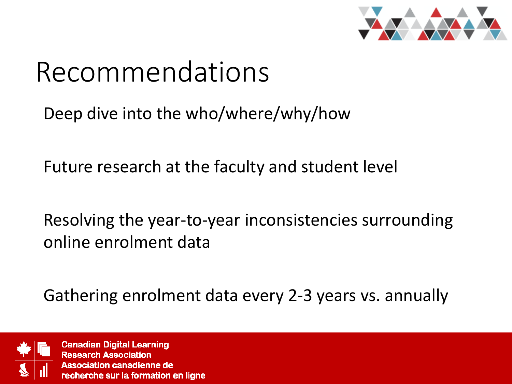

### Recommendations

Deep dive into the who/where/why/how

Future research at the faculty and student level

Resolving the year-to-year inconsistencies surrounding online enrolment data

Gathering enrolment data every 2-3 years vs. annually